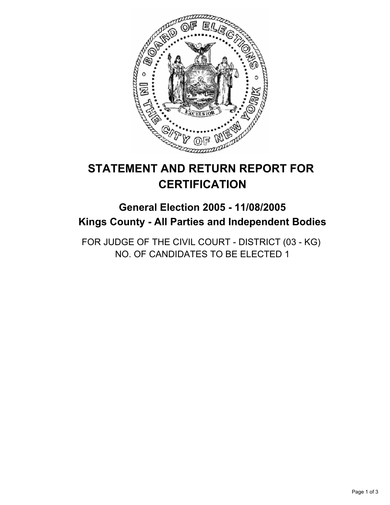

# **STATEMENT AND RETURN REPORT FOR CERTIFICATION**

# **General Election 2005 - 11/08/2005 Kings County - All Parties and Independent Bodies**

FOR JUDGE OF THE CIVIL COURT - DISTRICT (03 - KG) NO. OF CANDIDATES TO BE ELECTED 1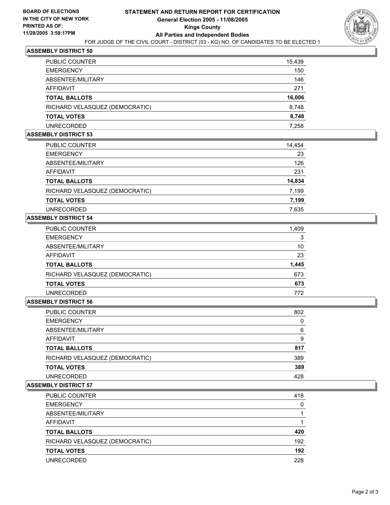

## **ASSEMBLY DISTRICT 50**

| PUBLIC COUNTER                 | 15,439 |
|--------------------------------|--------|
| <b>EMERGENCY</b>               | 150    |
| ABSENTEE/MILITARY              | 146    |
| AFFIDAVIT                      | 271    |
| TOTAL BALLOTS                  | 16,006 |
| RICHARD VELASQUEZ (DEMOCRATIC) | 8,748  |
| <b>TOTAL VOTES</b>             | 8,748  |
| UNRECORDED                     | 7.258  |

#### **ASSEMBLY DISTRICT 53**

| PUBLIC COUNTER                 | 14,454 |
|--------------------------------|--------|
| <b>EMERGENCY</b>               | 23     |
| ABSENTEE/MILITARY              | 126    |
| <b>AFFIDAVIT</b>               | 231    |
| <b>TOTAL BALLOTS</b>           | 14,834 |
| RICHARD VELASQUEZ (DEMOCRATIC) | 7,199  |
| <b>TOTAL VOTES</b>             | 7,199  |
| <b>UNRECORDED</b>              | 7,635  |

### **ASSEMBLY DISTRICT 54**

| PUBLIC COUNTER                 | 1,409 |
|--------------------------------|-------|
| <b>EMERGENCY</b>               | 3     |
| ABSENTEE/MILITARY              | 10    |
| AFFIDAVIT                      | 23    |
| <b>TOTAL BALLOTS</b>           | 1,445 |
| RICHARD VELASQUEZ (DEMOCRATIC) | 673   |
| <b>TOTAL VOTES</b>             | 673   |
| <b>UNRECORDED</b>              | 772   |

#### **ASSEMBLY DISTRICT 56**

| 802 |
|-----|
|     |
| 6   |
| g   |
| 817 |
| 389 |
| 389 |
| 428 |
|     |

#### **ASSEMBLY DISTRICT 57**

| PUBLIC COUNTER                 | 418 |
|--------------------------------|-----|
| <b>EMERGENCY</b>               | 0   |
| ABSENTEE/MILITARY              |     |
| AFFIDAVIT                      |     |
| <b>TOTAL BALLOTS</b>           | 420 |
| RICHARD VELASQUEZ (DEMOCRATIC) | 192 |
| <b>TOTAL VOTES</b>             | 192 |
| <b>UNRECORDED</b>              | 228 |